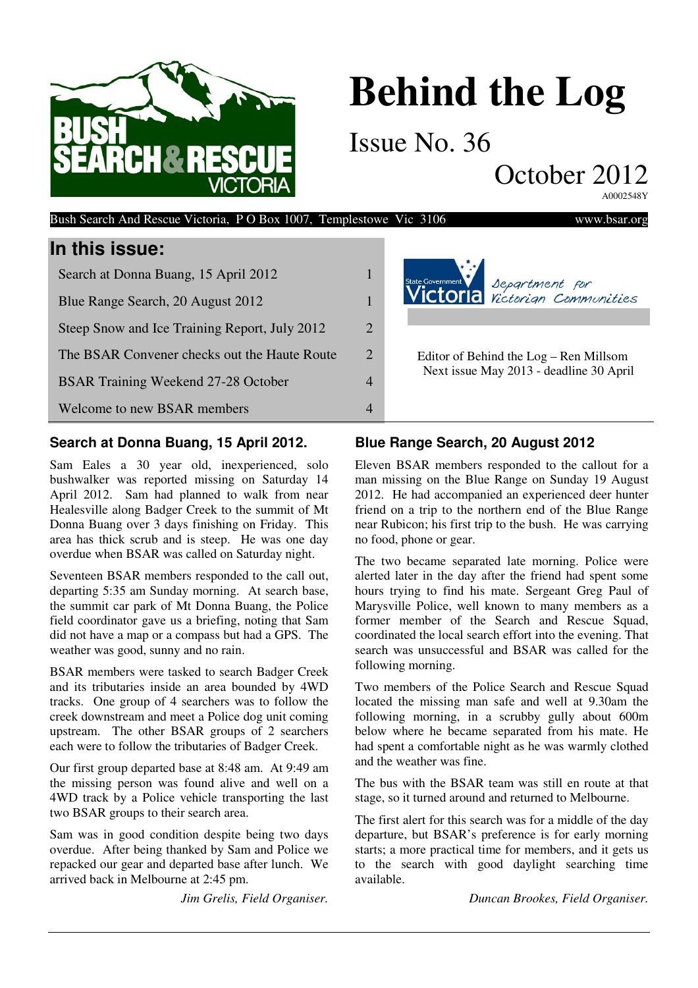

# **Behind the Log**

Issue No. 36

October 2012

A0002548Y

| In this issue:                                |                       |                                                                                   |
|-----------------------------------------------|-----------------------|-----------------------------------------------------------------------------------|
| Search at Donna Buang, 15 April 2012          |                       | state Government<br><b>VICTOMIA</b> Separtment for                                |
| Blue Range Search, 20 August 2012             |                       |                                                                                   |
| Steep Snow and Ice Training Report, July 2012 | $\mathcal{D}_{\cdot}$ |                                                                                   |
| The BSAR Convener checks out the Haute Route  | $\overline{2}$        | Editor of Behind the Log – Ren Millsom<br>Next issue May 2013 - deadline 30 April |
| <b>BSAR Training Weekend 27-28 October</b>    | 4                     |                                                                                   |
| Welcome to new BSAR members                   | 4                     |                                                                                   |
|                                               |                       |                                                                                   |

Bush Search And Rescue Victoria, P O Box 1007, Templestowe Vic 3106 www.bsar.org

#### **Search at Donna Buang, 15 April 2012.**

Sam Eales a 30 year old, inexperienced, solo bushwalker was reported missing on Saturday 14 April 2012. Sam had planned to walk from near Healesville along Badger Creek to the summit of Mt Donna Buang over 3 days finishing on Friday. This area has thick scrub and is steep. He was one day overdue when BSAR was called on Saturday night.

Seventeen BSAR members responded to the call out, departing 5:35 am Sunday morning. At search base, the summit car park of Mt Donna Buang, the Police field coordinator gave us a briefing, noting that Sam did not have a map or a compass but had a GPS. The weather was good, sunny and no rain.

BSAR members were tasked to search Badger Creek and its tributaries inside an area bounded by 4WD tracks. One group of 4 searchers was to follow the creek downstream and meet a Police dog unit coming upstream. The other BSAR groups of 2 searchers each were to follow the tributaries of Badger Creek.

Our first group departed base at 8:48 am. At 9:49 am the missing person was found alive and well on a 4WD track by a Police vehicle transporting the last two BSAR groups to their search area.

Sam was in good condition despite being two days overdue. After being thanked by Sam and Police we repacked our gear and departed base after lunch. We arrived back in Melbourne at 2:45 pm.

*Jim Grelis, Field Organiser.*

### **Blue Range Search, 20 August 2012**

Eleven BSAR members responded to the callout for a man missing on the Blue Range on Sunday 19 August 2012. He had accompanied an experienced deer hunter friend on a trip to the northern end of the Blue Range near Rubicon; his first trip to the bush. He was carrying no food, phone or gear.

The two became separated late morning. Police were alerted later in the day after the friend had spent some hours trying to find his mate. Sergeant Greg Paul of Marysville Police, well known to many members as a former member of the Search and Rescue Squad, coordinated the local search effort into the evening. That search was unsuccessful and BSAR was called for the following morning.

Two members of the Police Search and Rescue Squad located the missing man safe and well at 9.30am the following morning, in a scrubby gully about 600m below where he became separated from his mate. He had spent a comfortable night as he was warmly clothed and the weather was fine.

The bus with the BSAR team was still en route at that stage, so it turned around and returned to Melbourne.

The first alert for this search was for a middle of the day departure, but BSAR's preference is for early morning starts; a more practical time for members, and it gets us to the search with good daylight searching time available.

*Duncan Brookes, Field Organiser.*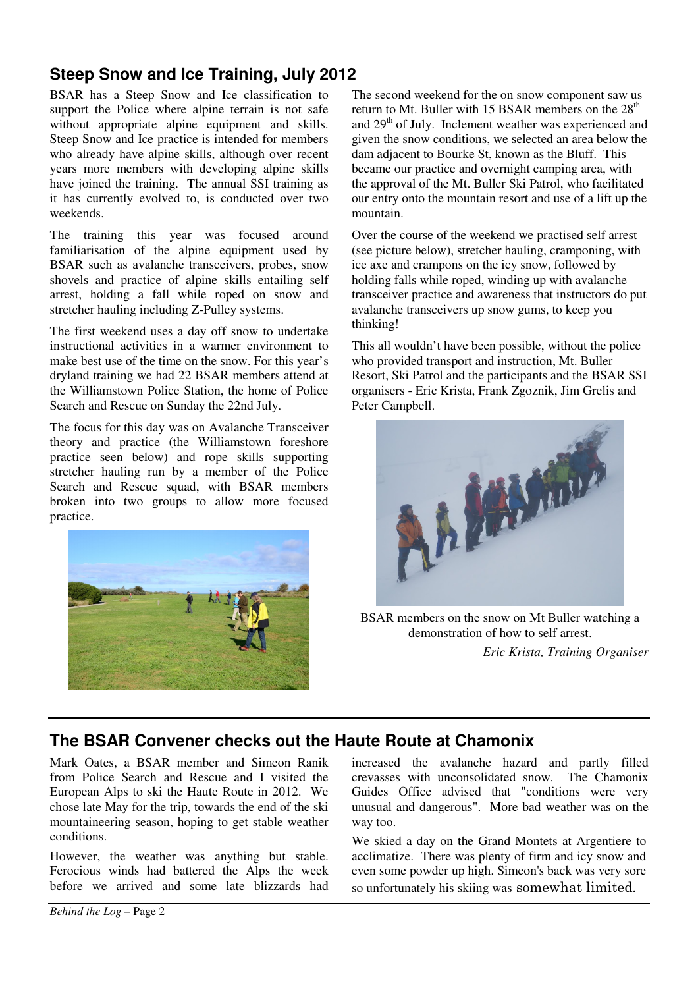# **Steep Snow and Ice Training, July 2012**

BSAR has a Steep Snow and Ice classification to support the Police where alpine terrain is not safe without appropriate alpine equipment and skills. Steep Snow and Ice practice is intended for members who already have alpine skills, although over recent years more members with developing alpine skills have joined the training. The annual SSI training as it has currently evolved to, is conducted over two weekends.

The training this year was focused around familiarisation of the alpine equipment used by BSAR such as avalanche transceivers, probes, snow shovels and practice of alpine skills entailing self arrest, holding a fall while roped on snow and stretcher hauling including Z-Pulley systems.

The first weekend uses a day off snow to undertake instructional activities in a warmer environment to make best use of the time on the snow. For this year's dryland training we had 22 BSAR members attend at the Williamstown Police Station, the home of Police Search and Rescue on Sunday the 22nd July.

The focus for this day was on Avalanche Transceiver theory and practice (the Williamstown foreshore practice seen below) and rope skills supporting stretcher hauling run by a member of the Police Search and Rescue squad, with BSAR members broken into two groups to allow more focused practice.



The second weekend for the on snow component saw us return to Mt. Buller with 15 BSAR members on the 28<sup>th</sup> and 29<sup>th</sup> of July. Inclement weather was experienced and given the snow conditions, we selected an area below the dam adjacent to Bourke St, known as the Bluff. This became our practice and overnight camping area, with the approval of the Mt. Buller Ski Patrol, who facilitated our entry onto the mountain resort and use of a lift up the mountain.

Over the course of the weekend we practised self arrest (see picture below), stretcher hauling, cramponing, with ice axe and crampons on the icy snow, followed by holding falls while roped, winding up with avalanche transceiver practice and awareness that instructors do put avalanche transceivers up snow gums, to keep you thinking!

This all wouldn't have been possible, without the police who provided transport and instruction, Mt. Buller Resort, Ski Patrol and the participants and the BSAR SSI organisers - Eric Krista, Frank Zgoznik, Jim Grelis and Peter Campbell.



BSAR members on the snow on Mt Buller watching a demonstration of how to self arrest. *Eric Krista, Training Organiser* 

## **The BSAR Convener checks out the Haute Route at Chamonix**

Mark Oates, a BSAR member and Simeon Ranik from Police Search and Rescue and I visited the European Alps to ski the Haute Route in 2012. We chose late May for the trip, towards the end of the ski mountaineering season, hoping to get stable weather conditions.

However, the weather was anything but stable. Ferocious winds had battered the Alps the week before we arrived and some late blizzards had increased the avalanche hazard and partly filled crevasses with unconsolidated snow. The Chamonix Guides Office advised that "conditions were very unusual and dangerous". More bad weather was on the way too.

We skied a day on the Grand Montets at Argentiere to acclimatize. There was plenty of firm and icy snow and even some powder up high. Simeon's back was very sore so unfortunately his skiing was somewhat limited.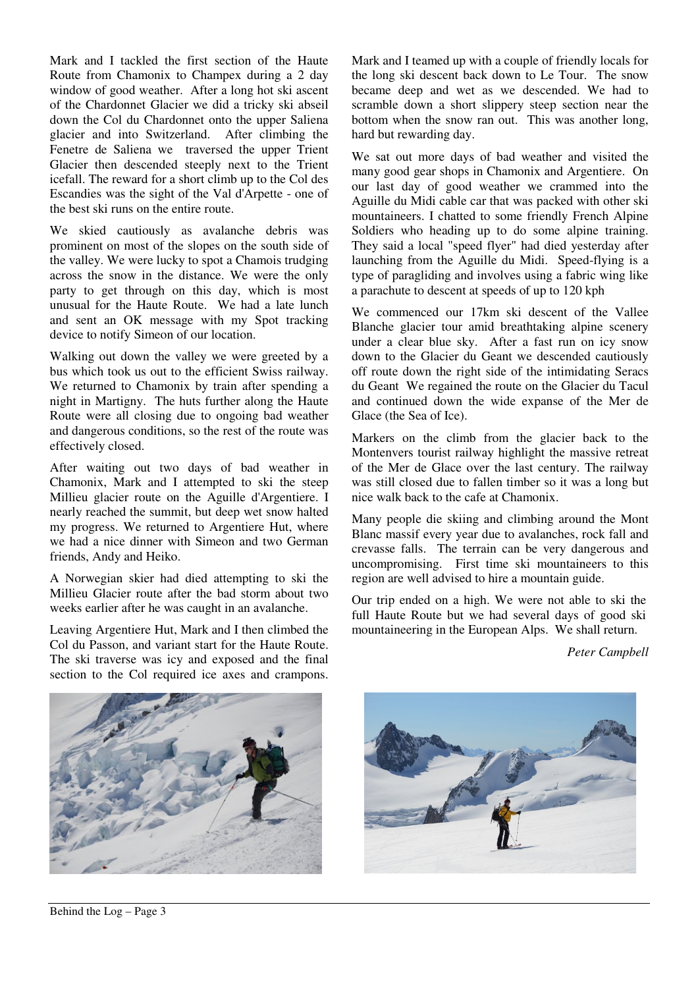Mark and I tackled the first section of the Haute Route from Chamonix to Champex during a 2 day window of good weather. After a long hot ski ascent of the Chardonnet Glacier we did a tricky ski abseil down the Col du Chardonnet onto the upper Saliena glacier and into Switzerland. After climbing the Fenetre de Saliena we traversed the upper Trient Glacier then descended steeply next to the Trient icefall. The reward for a short climb up to the Col des Escandies was the sight of the Val d'Arpette - one of the best ski runs on the entire route.

We skied cautiously as avalanche debris was prominent on most of the slopes on the south side of the valley. We were lucky to spot a Chamois trudging across the snow in the distance. We were the only party to get through on this day, which is most unusual for the Haute Route. We had a late lunch and sent an OK message with my Spot tracking device to notify Simeon of our location.

Walking out down the valley we were greeted by a bus which took us out to the efficient Swiss railway. We returned to Chamonix by train after spending a night in Martigny. The huts further along the Haute Route were all closing due to ongoing bad weather and dangerous conditions, so the rest of the route was effectively closed.

After waiting out two days of bad weather in Chamonix, Mark and I attempted to ski the steep Millieu glacier route on the Aguille d'Argentiere. I nearly reached the summit, but deep wet snow halted my progress. We returned to Argentiere Hut, where we had a nice dinner with Simeon and two German friends, Andy and Heiko.

A Norwegian skier had died attempting to ski the Millieu Glacier route after the bad storm about two weeks earlier after he was caught in an avalanche.

Leaving Argentiere Hut, Mark and I then climbed the Col du Passon, and variant start for the Haute Route. The ski traverse was icy and exposed and the final section to the Col required ice axes and crampons. Mark and I teamed up with a couple of friendly locals for the long ski descent back down to Le Tour. The snow became deep and wet as we descended. We had to scramble down a short slippery steep section near the bottom when the snow ran out. This was another long, hard but rewarding day.

We sat out more days of bad weather and visited the many good gear shops in Chamonix and Argentiere. On our last day of good weather we crammed into the Aguille du Midi cable car that was packed with other ski mountaineers. I chatted to some friendly French Alpine Soldiers who heading up to do some alpine training. They said a local "speed flyer" had died yesterday after launching from the Aguille du Midi. Speed-flying is a type of paragliding and involves using a fabric wing like a parachute to descent at speeds of up to 120 kph

We commenced our 17km ski descent of the Vallee Blanche glacier tour amid breathtaking alpine scenery under a clear blue sky. After a fast run on icy snow down to the Glacier du Geant we descended cautiously off route down the right side of the intimidating Seracs du Geant We regained the route on the Glacier du Tacul and continued down the wide expanse of the Mer de Glace (the Sea of Ice).

Markers on the climb from the glacier back to the Montenvers tourist railway highlight the massive retreat of the Mer de Glace over the last century. The railway was still closed due to fallen timber so it was a long but nice walk back to the cafe at Chamonix.

Many people die skiing and climbing around the Mont Blanc massif every year due to avalanches, rock fall and crevasse falls. The terrain can be very dangerous and uncompromising. First time ski mountaineers to this region are well advised to hire a mountain guide.

Our trip ended on a high. We were not able to ski the full Haute Route but we had several days of good ski mountaineering in the European Alps. We shall return.

*Peter Campbell*